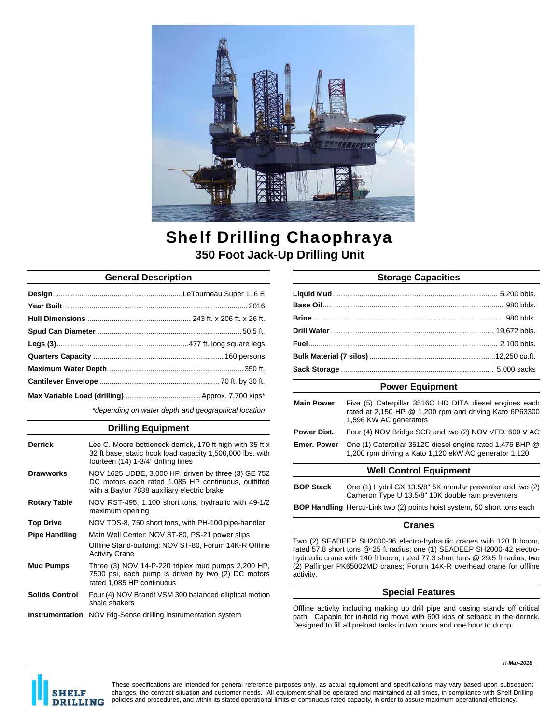

# Shelf Drilling Chaophraya **350 Foot Jack-Up Drilling Unit**

## **General Description**

*\*depending on water depth and geographical location* 

### **Drilling Equipment**

| <b>Derrick</b>        | Lee C. Moore bottleneck derrick, 170 ft high with 35 ft x<br>32 ft base, static hook load capacity 1,500,000 lbs. with<br>fourteen (14) 1-3/4" drilling lines |
|-----------------------|---------------------------------------------------------------------------------------------------------------------------------------------------------------|
| <b>Drawworks</b>      | NOV 1625 UDBE, 3,000 HP, driven by three (3) GE 752<br>DC motors each rated 1,085 HP continuous, outfitted<br>with a Baylor 7838 auxiliary electric brake     |
| <b>Rotary Table</b>   | NOV RST-495, 1,100 short tons, hydraulic with 49-1/2<br>maximum opening                                                                                       |
| <b>Top Drive</b>      | NOV TDS-8, 750 short tons, with PH-100 pipe-handler                                                                                                           |
| <b>Pipe Handling</b>  | Main Well Center: NOV ST-80, PS-21 power slips<br>Offline Stand-building: NOV ST-80, Forum 14K-R Offline<br><b>Activity Crane</b>                             |
| <b>Mud Pumps</b>      | Three (3) NOV 14-P-220 triplex mud pumps 2,200 HP,<br>7500 psi, each pump is driven by two (2) DC motors<br>rated 1.085 HP continuous                         |
| <b>Solids Control</b> | Four (4) NOV Brandt VSM 300 balanced elliptical motion<br>shale shakers                                                                                       |
|                       | <b>Instrumentation</b> NOV Rig-Sense drilling instrumentation system                                                                                          |

# **Storage Capacities**

## **Power Equipment**

| <b>Main Power</b>      | Five (5) Caterpillar 3516C HD DITA diesel engines each<br>rated at 2,150 HP @ 1,200 rpm and driving Kato 6P63300<br>1,596 KW AC generators |  |
|------------------------|--------------------------------------------------------------------------------------------------------------------------------------------|--|
| Power Dist.            | Four (4) NOV Bridge SCR and two (2) NOV VFD, 600 V AC                                                                                      |  |
| <b>Emer, Power</b>     | One (1) Caterpillar 3512C diesel engine rated 1,476 BHP @<br>1,200 rpm driving a Kato 1,120 ekW AC generator 1,120                         |  |
| Wall Control Equipment |                                                                                                                                            |  |

#### **Well Control Equipment**

**BOP Handling** Hercu-Link two (2) points hoist system, 50 short tons each

#### **Cranes**

Two (2) SEADEEP SH2000-36 electro-hydraulic cranes with 120 ft boom, rated 57.8 short tons @ 25 ft radius; one (1) SEADEEP SH2000-42 electrohydraulic crane with 140 ft boom, rated 77.3 short tons @ 29.5 ft radius; two (2) Palfinger PK65002MD cranes; Forum 14K-R overhead crane for offline activity.

### **Special Features**

Offline activity including making up drill pipe and casing stands off critical path. Capable for in-field rig move with 600 kips of setback in the derrick. Designed to fill all preload tanks in two hours and one hour to dump.



These specifications are intended for general reference purposes only, as actual equipment and specifications may vary based upon subsequent changes, the contract situation and customer needs. All equipment shall be operated and maintained at all times, in compliance with Shelf Drilling policies and procedures, and within its stated operational limits or continuous rated capacity, in order to assure maximum operational efficiency.